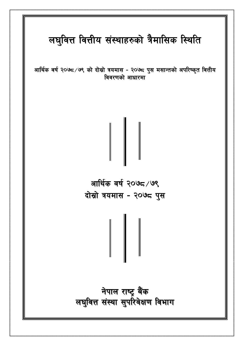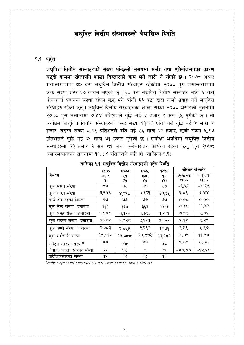# लघुवित्त वित्तीय संस्थाहरुको त्रैमासिक स्थिति

### १.१ पहुँच

लघुवित्त वित्तीय संस्थाहरुको संख्या पछिल्लो समयमा मर्जर तथा एक्विजिसनका कारण घट्दो क्रममा रहेतापनि शाखा विस्तारको क्रम भने जारी नै रहेको छ। २०७८ असार मसान्तसम्ममा ७० वटा लघुवित्त वित्तीय संस्थाहरु रहेकोमा २०७८ पुस मसान्तसम्ममा उक्त संख्या घटेर ६७ कायम भएको छ। ६७ वटा लघवित्त वित्तीय संस्थाहरु मध्ये ४ वटा थोककर्जा प्रदायक संस्था रहेका छन् भने बाँकी ६३ वटा खुद्रा कर्जा प्रवाह गर्ने लघुवित्त संस्थाहरु रहेका छन्। लघवित्त वित्तीय संस्थाहरुको शाखा संख्या २०७८ असारको तलनामा २०७८ पस मसान्तमा ७.४४ प्रतिशतले वृद्धि भई ४ हजार ९ सय ६५ पुगेको छ। सो अवधिमा लघवित्त वित्तीय संस्थाहरुको केन्द्र संख्या ११.४३ प्रतिशतले वद्धि भई ४ लाख ४ हजार, सदस्य संख्या ८.२९ प्रतिशतले वृद्धि भई ५६ लाख २२ हजार, ऋणी संख्या ५.९७ प्रतिशतले वृद्धि भई ३१ लाख ७१ हजार पुगेको छ । समीक्षा अवधिमा लघवित्त वित्तीय संस्थाहरुमा २३ हजार २ सय ८१ जना कर्मचारीहरु कार्यरत रहेका छन्, जन २०७८ असारमसान्तको तुलनामा ११.५४ प्रतिशतले बढी हो (तालिका १.१)।

|                                 | २०७७          | २०७७      | २०७८                           | २०७८         | प्रतिशत परिवर्तन |                      |
|---------------------------------|---------------|-----------|--------------------------------|--------------|------------------|----------------------|
| विवरण                           | असार          | पुस       | असार                           | पुस          | (9) / (9)        | $(2-3)\setminus (3)$ |
|                                 | $\mathcal{L}$ | (२)       | $\ddot{\boldsymbol{\epsilon}}$ | $(\lambda)$  | *¶oo             | $*qoo$               |
| कुल संस्था संख्या               | 58            | ७६        | ७०                             | ی ع          | $-$ ९.५२         | $-8.39$              |
| कुल शाखा संख्या                 | ३,९४६         | ४,२१८     | ४,६२१                          | ४,९६५        | $\xi$ . द $\xi$  | 6.88                 |
| कार्य क्षेत्र रहेको जिल्ला      | واقا          | ৩৩        | ৩৩                             | ৩৩           | 0.00             | 0.00                 |
| कुल केन्द्र संख्या (हजारमा)     | ३११           | ३३४       | ३६३                            | XOR          | 6.80             | 99.83                |
| कुल समूह संख्या (हजारमा)        | 9,080         | १,१२३     | १,१८३                          | 9,२९१        | 9.95             | ९.०६                 |
| कुल सदस्य संख्या (हजारमा)       | ४,६८७         | ४,९२८     | ५,१९१                          | ५,६२२        | 4.98             | ८.२९                 |
| क्ल ऋणी संख्या (हजारमा)         | २,७८३         | २,८४४     | २,९९२                          | ३,१७१        | २.५९             | ५.९७                 |
| कुल कर्मचारी संख्या             | १९,०१७        | $9$ ९,७८८ | २०,द७२                         | २३,२८१       | 8.08             | 99.48                |
| राष्ट्रिय स्तरका संस्था*        | XX            | ४द        | $80^{\circ}$                   | $80^{\circ}$ | 8.08             | 0.00                 |
| क्षेत्रीय /जिल्ला स्तरका संस्था | २५            | 92        | ς                              | ও            | $-80.00$         | -१२.५०               |
| प्रादेशिकस्तरका संस्था          | १५            | ۹३        | ٩X                             | १३           |                  |                      |

तालिका १.१: लघुवित्त वित्तीय संस्थाहरुको पहूँच स्थिति

\*उपरोक्त राष्टिय स्तरका संस्थाहरुमध्ये थोक कर्जा प्रदायक संस्थाहरुको संख्या ४ रहेको छ ।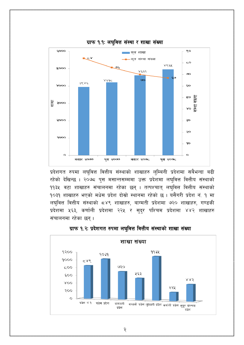

ग्राफ १.१: लघुवित्त संस्था र शाखा संख्या

प्रदेशगत रुपमा लघुवित्त वित्तीय संस्थाको शाखाहरु लुम्बिनी प्रदेशमा सबैभन्दा बढी रहेको देखिन्छ । २०७८ पुस मसान्तसम्ममा उक्त प्रदेशमा लघुवित्त वित्तीय संस्थाको ११३५ वटा शाखाहरु संचालनमा रहेका छन् । तत्पश्चात् लघुवित्त वित्तीय संस्थाको १०३१ शाखाहरु भएको मधेस प्रदेश दोस्रो स्थानमा रहेको छ । यसैगरी प्रदेश नं. १ मा लघुवित्त वित्तीय संस्थाको ८४९ शाखाहरु, बाग्मती प्रदेशमा ७२० शाखाहरु, गण्डकी प्रदेशमा ५६३, कर्णाली प्रदेशमा २२५ र सुदुर पश्चिम प्रदेशमा ४४२ शाखाहरु संचालनमा रहेका छन्।



### ग्राफ १.२: प्रदेशगत रुपमा लघुवित्त वित्तीय संस्थाको शाखा संख्या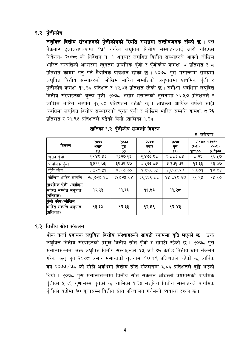# १.२ पुँजीकोष

लघुवित्त वित्तीय संस्थाहरुको पुँजीकोषको स्थिति समग्रमा सन्तोषजनक रहेको छ । यस बैंकबाट इजाजतपत्रप्राप्त "घ" वर्गका लघुवित्त वित्तीय संस्थाहरुलाई जारी गरिएको निर्देशन- २०७८ को निर्देशन नं. १ अनुसार लघुवित्त वित्तीय संस्थाहरुले आफ्नो जोखिम भारित सम्पत्तिको आधारमा न्यनतम प्राथमिक पँजी र पँजीकोष क्रमश: ४ प्रतिशत र ८ प्रतिशत कायम गर्न् पर्ने वैधानिक प्रावधान रहेको छ । २०७८ पुस मसान्तमा समग्रमा लघुवित्त वित्तीय संस्थाहरुको जोखिम भारित सम्पत्तिको अनुपातमा प्राथमिक पुँजी र पुँजीकोष क्रमश: ११.२८ प्रतिशत र १२.४३ प्रतिशत रहेको छ । समीक्षा अवधिमा लघुवित्त वित्तीय संस्थाहरुको चुक्ता पुँजी २०७८ असार मसान्तको तुलनामा १६.५७ प्रतिशतले र जोखिम भारित सम्पति १५.६० प्रतिशतले बढेको छ । अधिल्लो आर्थिक वर्षको सोही अवधिमा लघवित्त वित्तीय संस्थाहरुको चक्ता पँजी र जोखिम भारित सम्पत्ति क्रमशः ८.२६ प्रतिशत र २१.९५ प्रतिशतले बढेको थियो (तालिका १.२)।

|                       | २०७७      | २०७७                        |                                | २०७८           | प्रतिशत परिवर्तन |         |
|-----------------------|-----------|-----------------------------|--------------------------------|----------------|------------------|---------|
| विवरण                 | असार      | पुस                         | असार                           | पुस            | $(3-9)$          | $(x-3)$ |
|                       | (9)       | $\left( \mathcal{R}\right)$ | $\ddot{\boldsymbol{\epsilon}}$ | $(\mathbf{x})$ | 9)*900           | (इ)*१०० |
| चुक्ता पुँजी          | २,१४९.५३  | २३२७.१३                     | २,४७३.९८                       | २,दद३.द५       | द.२६             | १६.५७   |
| प्राथमिक पुँजी        | ३,५११.७३  | ३९७९.६७                     | ४,५७३.८५                       | ५,१७१.७९       | १३.३३            | 93.09   |
| पँजी कोष              | ३,८२०.५१  | 8390.00                     | ४,९९६.३५                       | ५,६९८.५३       | 93.09            | 98.04   |
| जोखिम भारित सम्पत्ति  | २द,७२०.२द | ३५०२५.६४                    | ३९,६६९.८८                      | ४५,दप्र९.२७    | २१.९५            | १५.६०   |
| प्राथमिक पुँजी ⁄जोखिम |           |                             |                                |                |                  |         |
| भारित सम्पत्ति अनुपात | १२.२३     | ११.३६                       | 99.43                          | 99.35          |                  |         |
| (प्रतिशत)             |           |                             |                                |                |                  |         |
| पुँजी कोष∕जोखिम       |           |                             |                                |                |                  |         |
| भारित सम्पत्ति अनुपात | १३.३०     | १२.३३                       | १२.५९                          | 93.83          |                  |         |
| <u>(प्रतिशत)</u>      |           |                             |                                |                |                  |         |

(रु. करोडमा)

### तालिका १.२: पँजीकोष सम्बन्धी विवरण

### १.३ वित्तीय स्रोत संकलन

थोक कर्जा प्रदायक लघुवित्त वित्तीय संस्थाहरुको सापटी रकममा वृद्वि भएको छ । उक्त लघुवित्त वित्तीय संस्थाहरुको प्रमुख वित्तीय स्रोत पूँजी र सापटी रहेको छ । २०७८ पुस मसान्तसम्ममा उक्त लघुवित्त वित्तीय संस्थाहरूले ४५ अर्ब ७२ करोड वित्तीय स्रोत संकलन गरेका छन् जन २०७८ असार मसान्तको तुलनामा १०.४९ प्रतिशतले बढेको छ, आर्थिक वर्ष २०७७/७८ को सोही अवधिमा वित्तीय स्रोत संकलनमा ६.८६ प्रतिशतले वृद्वि भएको थियो । २०७८ पुस मसान्तसम्ममा वित्तीय स्रोत संकलन अघिल्लो त्रयमासको प्राथमिक पूँजीको ५.७६ गुणासम्म पुगेको छ (तालिका १.३)। लघुवित्त वित्तीय संस्थाहरुले प्राथमिक पूँजीको बढीमा ३० गुणासम्म वित्तीय स्रोत परिचालन गर्नसक्ने व्यवस्था रहेको छ।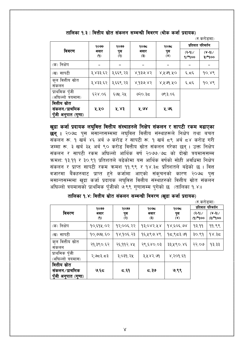|                                                        |                       |                |                         |                    |                    | (रु.करोडमा)                   |
|--------------------------------------------------------|-----------------------|----------------|-------------------------|--------------------|--------------------|-------------------------------|
| विवरण                                                  | २०७७<br>२०७७          |                | २०७८                    | २०७८               | प्रतिशत परिवर्तन   |                               |
|                                                        | असार<br>$\mathcal{L}$ | पुस<br>(२)     | असार<br>$\ddot{\bm{s}}$ | पुस<br>$(\lambda)$ | $(3-9)$<br>$9*900$ | $(\lambda - \beta)$<br>३)*१०० |
| (क) निक्षेप                                            |                       |                |                         |                    |                    |                               |
| (ख) सापटी                                              | ३,४३३.६२              | ३,६६९.२३       | ४,१३७.४२                | ४,५७१.५०           | ६.द६               | 90.88                         |
| कुल वित्तीय स्रोत<br>सकलन                              | ३,४३३.६२              | ३,६६९.२३       | 8,930,83                | ४,५७१.५०           | ६.द६               | 90.88                         |
| प्राथमिक पुँजी<br>(अघिल्लो त्रयमास)                    | ६२४.०६                | ६७५.२५         | ७२०.३८                  | ७९३.०६             |                    |                               |
| वित्तीय स्रोत<br>संकलन⁄प्राथमिक<br>पुँजी अनुपात (गुणा) | ५.५०                  | $X^2 \times 3$ | 4.08                    | ५.७६               |                    |                               |

तालिका १.३ : वित्तीय स्रोत संकलन सम्बन्धी विवरण (थोक कर्जा प्रदायक)

खुद्रा कर्जा प्रदायक लघुवित्त वित्तीय संस्थाहरुले निक्षेप संकलन र सापटी रकम बढाएका **छन् ।** २०७८ पस मसान्तसम्ममा लघवित्त वित्तीय संस्थाहरूले निक्षेप तथा बचत संकलन रू. १ खर्ब ४६ अर्ब ७ करोड र सापटी रू. १ खर्ब ८९ अर्ब ८४ करोड गरी जम्मा रू. ३ खर्ब ३५ अर्ब ९० करोड वित्तीय स्रोत संकलन गरेका छन । उक्त निक्षेप संकलन र सापटी रकम अघिल्लो आर्थिक वर्ष २०७७/७८ को दोस्रो त्रयमाससम्म क्रमश: १३.११ र ३०.९१ प्रतिशतले बढेकोमा यस आर्थिक वर्षको सोही अवधिमा निक्षेप संकलन र प्राप्त सापटी रकम क्रमश ११.९९ र १४.३८ प्रतिशतले बढेको छ । वित्त वजारमा बैंकहरुबाट प्राप्त हुने कर्जामा आएको संकुचनको कारण २०७८ पुस मसान्तसम्ममा खुद्रा कर्जा प्रदायक लघुवित्त वित्तीय संस्थाहरुको वित्तीय स्रोत संकलन अघिल्लो त्रयमासको प्राथमिक पँजीको ७.९९ गणासम्म पगेको छ (तालिका १.४)।

|  |  | तालिका १.४: वित्तीय स्रोत संकलन सम्बन्धी विवरण (खुद्रा कर्जा प्रदायक) |  |  |
|--|--|-----------------------------------------------------------------------|--|--|
|  |  |                                                                       |  |  |

|                                                        |                                     |                    |                                        |            | (रु.कराडमा)                            |                                    |
|--------------------------------------------------------|-------------------------------------|--------------------|----------------------------------------|------------|----------------------------------------|------------------------------------|
|                                                        | २०७७                                | २०७७               | २०७८                                   | २०७८       |                                        | प्रतिशत परिवर्तन                   |
| विवरण                                                  | असार<br>$\left( \mathbf{P} \right)$ | पुस<br>$\circledR$ | असार<br>$\ddot{\boldsymbol{\epsilon}}$ | पुस<br>(४) | $(3-9)$<br>$Q(\mathbf{P}^*\mathbf{Q})$ | $(\lambda - \beta)$<br>$OQ^*(\xi)$ |
| (क) निक्षेप                                            | १०,६१४.०२                           | १२,००६.२२          | १३,०४२.५४                              | १४,६०६.७४  | 93.99                                  | 99.99                              |
| (ख) सापटी                                              | १०,७७५.६०                           | १४,१०६.२३          | १६,५९७.४९                              | 95,953.99  | ३०.९१                                  | १४.३८                              |
| कुल वित्तीय स्रोत<br>सकलन                              | २१,३९०.६२                           | २६,११२.४५          | २९,६४०.०३                              | ३३,५९०.४६  | २२.०७                                  | १३.३३                              |
| प्राथमिक पुँजी<br>(अधिल्लो त्रयमास)                    | २,७८३.८३                            | ३,०३१.२५           | ३,५४२.७१                               | ४,२०१.६१   |                                        |                                    |
| वित्तीय स्रोत<br>संकलन⁄प्राथमिक<br>पुँजी अनुपात (गुणा) | $9.5$ द                             | ८.६१               | $\epsilon$ , ইও                        | ७.९९       |                                        |                                    |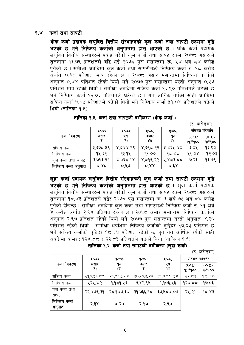#### कर्जा तथा सापटी  $9.8$

थोक कर्जा प्रदायक लघुवित्त वित्तीय संस्थाहरुको कुल कर्जा तथा सापटी रकममा वृद्वि भएको छ भने निष्किय कर्जाको अनुपातमा ह्रास आएको छ । थोक कर्जा प्रदायक लघुवित्त वित्तीय संस्थाहरुले प्रवाह गरेको कुल कर्जा तथा सापट रकम २०७८ असारको तुलनामा १३.७९ प्रतिशतले वृद्वि भई २०७८ पुस मसान्तमा रू. ५४ अर्ब ८४ करोड पंगेको छ । समीक्षा अवधिमा कल कर्जा तथा सापटीमध्ये निष्किय कर्जा रु. १८ करोड ँ<br>अर्थात ०.३४ प्रतिशत मात्र रहेको छ । २०७८ असार मसान्तमा निष्किय कर्जाको अनपात ०.४४ प्रतिशत रहेको थियो भने २०७७ पस मसान्तमा यस्तो अनपात ०.५७ प्रतिशत मात्र रहेको थियो । समीक्षा अवधिमा सक्रिय कर्जा १३.९० प्रतिशतले बढेको छ भने निष्क्रिय कर्जा १२.०३ प्रतिशतले घटेको छ । गत आर्थिक वर्षको सोही अवधिमा सक्रिय कर्जा ७.०५ प्रतिशतले बढेको थियो भने निष्क्रिय कर्जा ५१.०४ प्रतिशतले बढेको थियो (तालिका १ ५) ।

|  | तालिका १.५: कर्जा तथा सापटको वर्गीकरण (थोक कर्जा ) |  |  |
|--|----------------------------------------------------|--|--|
|  |                                                    |  |  |

(रुकरोडमा)

|                      | २०७७                               | २०७७       | २०७८                                        | २०७८               |                       | प्रतिशत परिवर्तन      |
|----------------------|------------------------------------|------------|---------------------------------------------|--------------------|-----------------------|-----------------------|
| कर्जा विवरण          | असार<br>$\left( \mathsf{P}\right)$ | पुस<br>(२) | असार<br>$\left( \mathbf{\mathbf{R}}\right)$ | पुस<br>$(\lambda)$ | $(3-9)$<br>$(9)*9$ oo | $(x-3)$<br>३) $*q$ ०० |
| सक्रिय कर्जा         | ३,७७८.५९                           | 808866     | ४,७९८.२२                                    | ४,४६५.४०           | ७.०५                  | १३.९०                 |
| निष्किय कर्जा        | १५.३२                              | २३.१५      | २१.००                                       | 95.85              | 66.08                 | $-9,03$               |
| कुल कर्जा तथा सापट   | ३,७९३.९१                           | 8,055,08   | ४,द१९.२२                                    | ५,४८३.८८           | ७.२३                  | १३.७९                 |
| निष्किय कर्जा अनुपात | $0'$ $\lambda$ $0$                 | ०.५७       | $0^{\prime}$ $2.8$                          | 0.38               |                       |                       |

खुद्रा कर्जा प्रदायक लघुवित्त वित्तीय संस्थाहरुको कुल कर्जा तथा सापटी रकममा वृद्वि भएको छ भने निष्किय कर्जाको अनुपातमा ह्रास आएको छ । खुद्रा कर्जा प्रदायक लघुवित्त वित्तीय संस्थाहरुले प्रवाह गरेको कुल कर्जा तथा सापट रकम २०७८ असारको तुलनामा १८.४३ प्रतिशतले बढेर २०७८ पुस मसान्तमा रू. ३ खर्ब ७५ अर्ब ८४ करोड पुगेको देखिन्छ । समीक्षा अवधिमा कुल कर्जा तथा सापटमध्ये निष्किय कर्जा रु. ११ अर्ब ४ करोड अर्थात २.९४ प्रतिशत रहेको छ । २०७८ असार मसान्तमा निष्किय कर्जाको अनपात २.९७ प्रतिशत रहेको थियो भने २०७७ पस मसान्तमा यस्तो अनपात ४.२० प्रतिशत रहेको थियो । समीक्षा अवधिमा निष्किय कर्जाको वृद्धिदर १७.०३ प्रतिशत छ भने सक्रिय कर्जाको वृद्धिदर १८.४७ प्रतिशत रहेको छ जुन गत आर्थिक वर्षको सोही अवधिमा क्रमश: १२४.८८ र २२.८३ प्रतिशतले बढेको थियो (तालिका १.६) ।

तालिका १.६: कर्जा तथा सापटको वर्गीकरण (खुद्रा कर्जा)

(रु करोडमा)

|                         | २०७७                               | २०७७                          | २०७८                  | २०७८                  | प्रतिशत परिवर्तन      |                   |
|-------------------------|------------------------------------|-------------------------------|-----------------------|-----------------------|-----------------------|-------------------|
| कर्जा विवरण             | असार<br>$\left( \mathbf{A}\right)$ | पुस<br>$\tilde{(\mathsf{R})}$ | असार<br>$\circledast$ | पुस<br>$(\mathbf{x})$ | $(2-9)$<br>$9) * qoo$ | $(X-3)$<br>३)*१०० |
| सक्रिय कर्जा            | २१,९५३.८९                          | २६,९६५.७४                     | ३०,७९३.२३             | ३६,४८०.५४             | २२.८३                 | 95.89             |
| निष्किय कर्जा           | ५२५.४२                             | 9,959.85                      | ९४२.९५                | १,१०३.५३              | 938.55                | १७.०३             |
| क्ल कर्जा तथा<br>सापट   | २२,४७९.३१                          | २८,१४७.३०                     | ३१,७३६.१८             | ३७,५८४.०७             | २५.२१                 | 95.83             |
| निष्किय कर्जा<br>अनुपात | २.३४                               | ४.२०                          | २.९७                  | २.९४                  |                       |                   |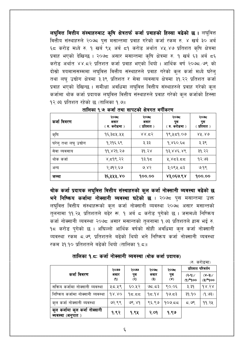लघुवित्त वित्तीय संस्थाहरुबाट कृषि क्षेत्रतर्फ कर्जा प्रवाहको हिस्सा बढेको छ। लघुवित्त वित्तीय संस्थाहरुले २०७८ पुस मसान्तमा प्रवाह गरेको कर्जा रकम रु. ४ खर्ब ३० अर्ब ६८ करोड मध्ये रु. १ खर्ब ९५ अर्ब ८१ करोड अर्थात ४५.४७ प्रतिशत कृषि क्षेत्रमा प्रवाह भएको देखिन्छ । २०७८ असार मसान्तमा कृषि क्षेत्रमा रु. १ खर्ब ६३ अर्ब ८६ करोड़ अर्थात ४४.८२ प्रतिशत कर्जा प्रवाह भएको थियो । आर्थिक वर्ष २०७८/७९ को दोस्रो त्रयमाससम्ममा लघवित्त वित्तीय संस्थाहरुले प्रवाह गरेको कुल कर्जा मध्ये घरेल तथा लघु उद्योग क्षेत्रमा ३.३९ प्रतिशत र सेवा व्यवसाय क्षेत्रमा ३१.२२ प्रतिशत कर्जा प्रवाह भएको देखिन्छ । समीक्षा अवधिमा लघुवित्त वित्तीय संस्थाहरुले प्रवाह गरेको कुल कर्जामा थोक कर्जा प्रदायक लघुवित्त वित्तीय संस्थाहरुले प्रवाह गरेको कुल कर्जाको हिस्सा १२ ७३ प्रतिशत रहेको छ (तालिका १ ७)।

| कर्जा विवरण          | २०७८<br>असार<br>( रु. करोडमा ) | २०७८<br>असार<br>्प्रतिशत ) | २०७८<br>पुस<br>( रु. करोडमा ) | २०७८<br>पुस<br>(प्रतिशत) |
|----------------------|--------------------------------|----------------------------|-------------------------------|--------------------------|
| कृषि                 | १६,३८५.५५                      | 88.55                      | १९,५८१.०७                     | $88^\circ 80$            |
| घरेलु तथा लघु उद्योग | १,२१६.६९                       | ३.३३                       | १,४६०.६८                      | ३.३९                     |
| सेवा व्यवसाय         | ११,४२१.२७                      | ३१.२४                      | 93,885.89                     | ३१.२२                    |
| थोक कर्जा            | ४,द१९.२२                       | १३.१८                      | ५,४८३.८८                      | १२.७३                    |
| अन्य                 | २,७१२.६७                       | ७.४२                       | ३,०९५.८३                      | ७.१९                     |
| जम्मा                | ३६,५५५.४०                      | 900.00                     | ४३,०६७.९४                     | 900.00                   |

तालिका १.७: कर्जा तथा सापटको क्षेत्रगत वर्गीकरण

थोक कर्जा प्रदायक लघुवित्त वित्तीय संस्थाहरुको कुल कर्जा नोक्सानी व्यवस्था बढेको छ भने निष्किय कर्जामा नोक्सानी व्यवस्था घटेको छ । २०७८ पुस मसान्तमा उक्त लघुवित्त वित्तीय संस्थाहरूको कुल कर्जा नोक्सानी व्यवस्था २०७८ असार मसान्तको तुलनामा ११.२५ प्रतिशतले बढेर रू. १ अर्ब ८ करोड पुगेको छ । जसमध्ये निष्किय कर्जा नोक्सानी व्यवस्था २०७८ असार मसान्तको तुलनामा १.७३ प्रतिशतले ह्रास भई रु. १८ करोड पुगेको छ । अघिल्लो आर्थिक वर्षको सोही अवधिमा कुल कर्जा नोक्सानी व्यवस्था रकम ८.७९ प्रतिशतले बढेको थियो भने निष्किय कर्जा नोक्सानी व्यवस्था रकम ३१.१० प्रतिशतले बढेको थियो (तालिका १.८)।

### तालिका १.८: कर्जा नोक्सानी व्यवस्था (थोक कर्जा प्रदायक)

 $\pi$   $\pi$ *r* $\pi$ 

|                                                     |                                    |                    |                             |                       |                       | 11.7.9710711           |
|-----------------------------------------------------|------------------------------------|--------------------|-----------------------------|-----------------------|-----------------------|------------------------|
|                                                     | २०७७                               | २०७७               | २०७८                        | २०७८                  | प्रतिशत परिवर्तन      |                        |
| कर्जा विवरण                                         | असार<br>$\left( \mathbf{f}\right)$ | पुस<br>$\circledR$ | असार<br>$\ddot{\mathbf{r}}$ | पुस<br>$(\mathbf{x})$ | $(3-9)$<br>$(9)*9$ 00 | $(x-3)$<br>$OQ^*(\xi)$ |
| सक्रिय कर्जामा नोक्सानी व्यवस्था                    | ५८.५९                              | ६०.५२              | ಅದ್ದರಾ                      | ९०.०६                 | ३.३१                  | 98.58                  |
| निष्किय कर्जामा नोक्सानी व्यवस्था                   | 98.80                              | 95.59              | 95.98                       | १७.८३                 | 39.90                 | (9.93)                 |
| कुल कर्जा नोक्सानी ब्यवस्था                         | ७२.९९                              | 98.89              | ९६.९७                       | 909.55                | ದ. ७९                 | 99.24                  |
| कुल कजोमा कुल कर्जा नोक्सानी<br>(अनुपात<br>व्यवस्था | १.९२                               | 9.84               | २.०१                        | १.९७                  |                       |                        |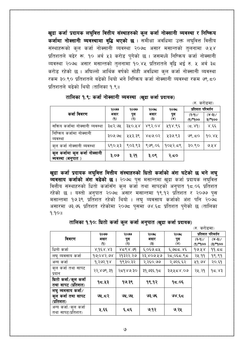खुद्रा कर्जा प्रदायक लघुवित्त वित्तीय संस्थाहरुको कुल कर्जा नोक्सानी व्यवस्था र निष्किय कर्जामा नोक्सानी व्यवस्थामा वृद्धि भएको छ । समीक्षा अवधिमा उक्त लघुवित्त वित्तीय संस्थाहरूको कुल कर्जा नोक्सानी व्यवस्था २०७८ असार मसान्तको तुलनामा ७.५४ प्रतिशतले बढेर रू. १० अर्ब ५३ करोड पुगेको छ । जसमध्ये निष्किय कर्जा नोक्सानी व्यवस्था २०७८ असार मसान्तको तुलनामा १०.४५ प्रतिशतले वृद्वि भई रु. ५ अर्ब ३८ करोड रहेको छ । अघिल्लो आर्थिक वर्षको सोही अवधिमा कल कर्जा नोक्सानी व्यवस्था रकम ३०९० प्रतिशतले बढेको थियो भने निष्किय कर्जा नोक्सानी व्यवस्था रकम ७९ ८० प्रतिशतले बढेको थियो (तालिका १.९)।

|                                                  |             |                                              |                         |            | (रु. कराडमा)          |                   |
|--------------------------------------------------|-------------|----------------------------------------------|-------------------------|------------|-----------------------|-------------------|
|                                                  | २०७७        | २०७७                                         | २०७८                    | २०७८       | प्रतिशत परिवर्तन      |                   |
| कर्जा विवरण                                      | असार<br>(9) | पुस<br>$\left( \mathbf{\overline{S}}\right)$ | असार<br>$\ddot{\bm{s}}$ | पुस<br>(४) | $(3-9)$<br>$(9)*9$ oo | $(x-3)$<br>३)*१०० |
| सक्रिय कर्जामा नोक्सानी व्यवस्था                 | ३८२.७५      | ३५०.५४                                       | ४९२.०४                  | ५१४.९६     | (5.89)                | ४.६६              |
| निष्किय कर्जामा नोक्सानी<br>व्यवस्था             | ३೦७ ७८      | ५५३.३९                                       | 50,958                  | ५३७.९३     | 98.50                 | 90.88             |
| कुल कर्जा नोक्सानी ब्यवस्था                      | ६९०.५३      | ९०३.९३                                       | ९७९.०६                  | १०५२.८९    | 30.80                 | 6.52              |
| कुल कजोमा कुल कर्जा नोक्सानी<br>ब्यवस्था (अनुपात | ३.०७        | ३.२१                                         | ३.०९                    | २.८०       |                       |                   |

तालिका १.९: कर्जा नोक्सानी व्यवस्था (खुद्रा कर्जा प्रदायक)

खुद्रा कर्जा प्रदायक लघुवित्त वित्तीय संस्थाहरुको धितो कर्जाको अंश घटेको छ भने लघु व्यवसाय कर्जाको अंश बढेको छ । २०७८ पुस मसान्तमा खुद्रा कर्जा प्रदायक लघुवित्त वित्तीय संस्थाहरुको धितो कर्जासँग कुल कर्जा तथा सापटको अनुपात १८.०६ प्रतिशत रहेको छ । यस्तो अनुपात २०७८ असार मसान्तमा १९.१२ प्रतिशत र २०७७ पुस मसान्तमा १७.३९ प्रतिशत रहेको थियो । लघु व्यवसाय कर्जाको अंश पनि २०७८ असारमा ७३.७६ प्रतिशत रहेकोमा २०७८ पुसमा ७४.६८ प्रतिशत पुगेको छ (तालिका  $9.901$ 

तालिका १.१०: धितो कर्जा कुल कर्जा अनुपात (खुद्रा कर्जा प्रदायक)

|                      |               |                         |                 |             | <i>। ए. प</i> राडमा |                             |
|----------------------|---------------|-------------------------|-----------------|-------------|---------------------|-----------------------------|
|                      | २०७७          | २०७७                    | २०७८            | २०७८        |                     | प्रतिशत परिवर्तन            |
| विवरण                | असार          | पुस                     | असार            | पुस         | $(3-9)$             | $(\mathcal{S}-\mathcal{S})$ |
|                      | $\mathcal{L}$ | $\left( 3\right)$       | $\ddot{\bm{s}}$ | $(\lambda)$ | (၅)*ရ၀၀             | $OQ^*(\xi)$                 |
| धितो कर्जा           | ४,१६४.४३      | 85,858                  | ६,०६७.८५        | 58.955,     | 99.88               | 99.55                       |
| लघु व्यवसाय कर्जा    | 99,082.08     | २१३२२.२७                | २३,४०७.५७       | २८,०६८.९८   | २५.११               | 99.99                       |
| अन्य कर्जा           | १,२७२.१४      | १९३०.३२                 | २,२६०.७७        | २,७२६.६२    | 89.98               | २०.६१                       |
| कुल कर्जा तथा सापट   | २२,४७९.३१     | २८१४७.३०                | ३१,७३६.१८       | ३७,५८४.०७   | २५.२१               | 95.83                       |
| प्रदान               |               |                         |                 |             |                     |                             |
| धितो कर्जा∕कुल कर्जा | १८.५३         | १७.३९                   | १९.१२           | १८.०६       |                     |                             |
| तथा सापट (प्रतिशत)   |               |                         |                 |             |                     |                             |
| लघु व्यवसाय कर्जा∕   |               |                         |                 |             |                     |                             |
| कुल कर्जा तथा सापट   | 92.53         | ७५.७५                   | ७३.७६           | ७४.६८       |                     |                             |
| (प्रतिशत)            |               |                         |                 |             |                     |                             |
| अन्य कर्जा/कुल कर्जा | ५.६६          | $\epsilon, \epsilon$ र् | ७.१२            | ७.२५        |                     |                             |
| तथा सापट(प्रतिशत)    |               |                         |                 |             |                     |                             |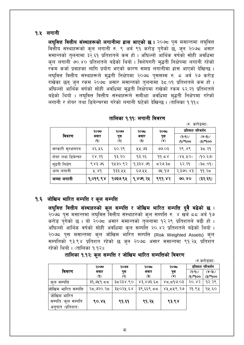### १.५ लगानी

लघुवित्त वित्तीय संस्थाहरूको लगानीमा ह्रास आएको छ। २०७८ पुस मसान्तमा लघुवित्त वित्तीय संस्थाहरूको कुल लगानी रु. ९ अर्ब ९१ करोड पुगेको छ, जुन २०७८ असार मसान्तको तलनामा ३२.६१ प्रतिशतले कम हो । अघिल्लो आर्थिक वर्षको सोही अवधिमा कुल लगानी ७०.४० प्रतिशतले बढेको थियो । विशेषगरी मुद्धती निक्षेपमा लगानी रहेको रकम कर्जा प्रवाहका लागि प्रयोग भएको कारण समग्र लगानीमा ह्रास आएको देखिन्छ । लघुवित्त वित्तीय संस्थाहरूले मुद्धती निक्षेपमा २०७८ पुससम्म रु. ८ अर्व २७ करोड राखेका छन् जन रकम २०७८ असार मसान्तको तलनामा ३८.०१ प्रतिशतले कम हो । अघिल्लो आर्थिक वर्षको सोही अवधिमा मद्धती निक्षेपमा राखेको रकम ६२.२१ प्रतिशतले बढेको थियो । लघुवित्त वित्तीय संस्थाहरूले समीक्षा अवधिमा मुद्धती निक्षेपमा गरेको लगानी र शेयर तथा डिबेन्चरमा गरेको लगानी घटेको देखिन्छ । (तालिका १.११)।

| तालिका १.११ः लगानी विवरण |  |  |  |
|--------------------------|--|--|--|
|--------------------------|--|--|--|

|                    |             |                    |                     |            |                       | (रु. कराडमा)                                                  |  |
|--------------------|-------------|--------------------|---------------------|------------|-----------------------|---------------------------------------------------------------|--|
| विवरण              | २०७७        | २०७७<br>पुस<br>(२) | २०७८<br>असार<br>(5) | २०७८       | प्रतिशत परिवर्तन      |                                                               |  |
|                    | असार<br>(9) |                    |                     | पुस<br>(४) | $(3-9)$<br>$(9)*9$ oo | $(\lambda - \beta)$<br>$\mathsf{oo} \mathsf{P}^*(\mathsf{F})$ |  |
| सरकारी सुरक्षणपत्र | ४६.५६       | 50.38              | ५५.७३               | 00.03      | २९.४९                 | ३८.२१                                                         |  |
| शेयर तथा डिवेन्चर  | २४.२१       | १३.२०              | १३.२६               | 99.58      | (XX, XO)              | (90, 50)                                                      |  |
| मुद्रती निक्षेप    | ९४३.७६      | १५३०.९२            | १,३३४.७१            | द२७.३द     | ६२.२१                 | (90.75)                                                       |  |
| अन्य लगानी         | 4.89        | १३३.५५             | ६७.५५               | ७५.१७      | २,३७०.४३              | ११.२८                                                         |  |
| जम्मा लगानी        | 9,099.98    | १७३७.९५            | 9,899.78            | ९९१.४२     | 90.80                 | (33.59)                                                       |  |

## १.६ जोखिम भारित सम्पत्ति र कुल सम्पत्ति

लघुवित्त वित्तीय संस्थाहरुको कुल सम्पत्ति र जोखिम भारित सम्पत्ति दुवै बढेको छ । २०७८ पस मसान्तमा लघुवित्त वित्तीय संस्थाहरुको कुल सम्पत्ति रु. ४ खर्ब ८८ अर्ब १७ करोड पुगेको छ । यो २०७८ असार मसान्तको तुलनामा १२.२९ प्रतिशतले बढी हो । अघिल्लोँ आर्थिक वर्षको सोही अवधिमा कल सम्पत्ति २०.४२ प्रतिशतले बढेको थियो । २०७८ पुस मसान्तमा कुल जोखिम भारित सम्पत्ति (Risk Weighted Assets) कुल सम्पतिको ९३.९४ प्रतिशत रहेको छ जन २०७८ असार मसान्तमा ९१.२४ प्रतिशत रहेको थियो । (तालिका १.१२)।

तालिका १.१२: कुल सम्पत्ति र जोखिम भारित सम्पत्तिको विवरण

|                      |                            |          |                 |             |            | (रु.कराडमा)      |
|----------------------|----------------------------|----------|-----------------|-------------|------------|------------------|
|                      | २०७७                       | २०७७     | २०७८            | २०७८        |            | प्रतिशत परिवर्तन |
| विवरण                | असार                       | पुस      | असार            | पुस         | $(3-9)$    | $(x-3)$          |
|                      | $\left( \mathsf{P}\right)$ | (२)      | $\ddot{\bm{s}}$ | $(\lambda)$ | $(9)*9$ oo | $OOP*(\xi)$      |
| कुल सम्पत्ति         | ३१,७५१.८८                  | ३८२३४.९० | ४३,४७३.६८       | 80,99,78    | 30.85      | १२.२९            |
| जोखिम भारित सम्पत्ति | २द,७२०.२द                  | ३५०२५.६४ | ३९,६६९.८८       | ४५,दप्र९.२७ | २१.९५      | १५.६०            |
| जोखिम भारित          |                            |          |                 |             |            |                  |
| सम्पति ∕ क्ल सम्पति  | ९०.४५                      | ९१.६१    | ९१.२५           | ९३.९४       |            |                  |
| (प्रतिशत)<br>अनपात   |                            |          |                 |             |            |                  |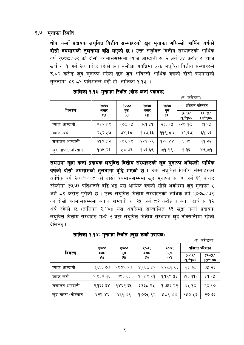## १.७ मुनाफा स्थिति

थोक कर्जा प्रदायक लघुवित्त वित्तीय संस्थाहरुको खुद मुनाफा अघिल्लो आर्थिक वर्षको दोस्रो त्रयमासको तुलनामा वृद्धि भएको छ । उक्त लघुवित्त वित्तीय संस्थाहरुको आर्थिक वर्ष २०७८/७९ को दोस्रो त्रयमाससम्ममा ब्याज आम्दानी रु. २ अर्ब ३४ करोड़ र ब्याज खर्च रु. १ अर्ब २० करोड रहेको छ। समीक्षा अवधिमा उक्त लघुवित्त वित्तीय संस्थाहरुले रु.८२ करोड खुद मुनाफा गरेका छन् जुन अघिल्लो आर्थिक वर्षको दोस्रो त्रयमासको तुलनामा ४९.८१ प्रतिशतले बढी हो (तालिका १.१३)।

|                   | २०७७                               | २०७७<br>पुस<br>$\circledR$ | २०७८                                   | २०७८                  | (2.921)<br>प्रतिशत परिवर्तन |                               |  |
|-------------------|------------------------------------|----------------------------|----------------------------------------|-----------------------|-----------------------------|-------------------------------|--|
| विवरण             | असार<br>$\left( \mathbf{f}\right)$ |                            | असार<br>$\ddot{\boldsymbol{\epsilon}}$ | पुस<br>$(\mathbf{X})$ | (३-१) $/$<br>(9)*900        | $(\gamma - 3)$<br>$O(5^*(5))$ |  |
| व्याज आम्दानी     | ४५२.८९                             | १७८.१५                     | ३६१.५१                                 | २३३.६५                | .२०.१८)                     | ३१.१५                         |  |
| ब्याज खर्च        | २५२.५७                             | ७४.३८                      | 989.33                                 | $99$ , $50$           | (89.59)                     | ६१.०६                         |  |
| संचालन आम्दानी    | २१०.८२                             | 908.98                     | २२४.२९                                 | 929.88                | ६.३९                        | ११.२२                         |  |
| खद नाफा ∕ नोक्सान | १०५.२६                             | ५४.७३                      | १०६.६९                                 | 59.88                 | १.३६                        | 89.59                         |  |

<u>ਨਕੀ ਰਾਜ</u>

समग्रमा खुद्रा कर्जा प्रदायक लघुवित्त वित्तीय संस्थाहरुको खुद मुनाफा अघिल्लो आर्थिक वर्षको <mark>दोस्रो त्रयमासको तुलनामा वृद्धि भएको छ</mark> । उक्त लघुवित्त वित्तीय संस्थाहरुको आर्थिक वर्ष २०७७/७८ को दोस्रो त्रयमाससम्ममा खद मनाफा रु. ४ अर्ब ६१ करोड रहेकोमा २७.७३ प्रतिशतले वद्वि भई यस आर्थिक वर्षको सोही अवधिमा खद मनाफा ५ अर्ब ८९ करोड पुगेको छ । उक्त लघुवित्त वित्तीय संस्थाहरुको आर्थिक वर्ष २०७८/७९ को दोस्रो त्रयमाससम्ममा ब्याज आम्दानी रु. २५ अर्ब ८२ करोड र ब्याज खर्च रु. १२ अर्ब रहेको छ (तालिका २.१४)। यस अवधिमा सञ्चालित ६३ खुद्रा कर्जा प्रदायक लघुवित्त वित्तीय संस्थाहरु मध्ये २ वटा लघुवित्त वित्तीय संस्थाहरु खुद नोक्सानीमा रहेको देखिन्छ ।

| तालिका १.१४: मुनाफा स्थिति (खुद्रा कर्जा प्रदायक) |  |  |  |  |  |  |  |
|---------------------------------------------------|--|--|--|--|--|--|--|
|---------------------------------------------------|--|--|--|--|--|--|--|

|                    |                       |                    |                     |            |                       | (रु. कराडमा)           |
|--------------------|-----------------------|--------------------|---------------------|------------|-----------------------|------------------------|
|                    | २०७७                  | २०७७<br>पुस<br>(२) | २०७८<br>असार<br>(3) | २०७८       | प्रतिशत परिवर्तन      |                        |
| विवरण              | असार<br>$\mathcal{L}$ |                    |                     | पुस<br>(४) | $(3-9)$<br>$(9)*9$ oo | $(8-3)$<br>$O(8^*(5))$ |
| ब्याज आम्दानी      | ३,६६३.७७              | १९०९.२७            | $\gamma$ ९६८.८१     | २,५८१.९३   | १३.७८                 | ३५.२३                  |
| ब्याज खर्च         | १,९३४.१६              | ७९३.६३             | १,६८०.६१            | १,१९९.५५   | (93.99)               | 49.94                  |
| संचालन आम्दानी     | २,१६३.३४              | १४६२.३५            | ३,१३८.९५            | १,७५६.२२   | ४४.१०                 | २०.१०                  |
| खुद नाफा ∕ नोक्सान | ४२९.४६                | 869.88             | 9,09                | ४४९.४४     | १५०.५३                | २७.७३                  |

९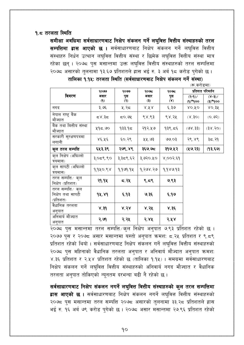### <u> १.८ तरलता स्थिति</u>

समीक्षा अवधिमा सर्वसाधारणबाट निक्षेप संकलन गर्ने लघुवित्त वित्तीय संस्थाहरुको तरल सम्पत्तिमा द्वास आएको छ । सर्वसाधारणबाट निक्षेप संकलन गर्ने लघुवित्त वित्तीय संस्थाहरु निर्धन उत्थान लघुवित्त वित्तीय संस्था र छिमेक लघुवित्त वित्तीय संस्था मात्र रहेका छन् । २०७८ पुस मसान्तमा उक्त लघुवित्त वित्तीय संस्थाहरुको तरल सम्पत्तिमा २०७८ असारको तुलनामा १३.६७ प्रतिशतले ह्रास भई रु. ३ अर्ब १८ करोड पुगेको छ।

|                                                     | २०७७        | २०७७                      | २०७८                                             | २०७८               |                        | प्रतिशत परिवर्तन                   |
|-----------------------------------------------------|-------------|---------------------------|--------------------------------------------------|--------------------|------------------------|------------------------------------|
| विवरण                                               | असार<br>(9) | पुस<br>$\left( 8 \right)$ | असार<br>$\left( \boldsymbol{\varepsilon}\right)$ | पुस<br>$(\lambda)$ | $(3-9)$<br>(၅) $*$ (၉) | $(\lambda - \beta)$<br>(န) $*$ (န) |
| नगद                                                 | ३.७६        | ५.२८                      | 8.78                                             | ६.३७               | 80.XO                  | 80.38                              |
| नेपाल राष्ट्र बैंक<br>मौज्दात                       | ದ ४.३८      | ८०.७१                     | ९४.९३                                            | ९४.२५              | (25.8)                 | (0,92)                             |
| बैंक तथा बित्तीय संस्था<br>मौज्दात                  | ५१८.७०      | १३३.१८                    | २१२.५७                                           | १३९.८६             | (98.33)                | (38.50)                            |
| सरकारी सुरक्षणपत्रमा<br>लगानी                       | ४६.५६       | ६०.२९                     | ५५.७३                                            | ७७.०३              | २९.४९                  | ३८.२१                              |
| कुल तरल सम्पत्ति                                    | ६५३.३९      | २७९.४९                    | ३६७.७८                                           | ३१७.५२             | (29.33)                | (१३.६७)                            |
| कुल निक्षेप (अघिल्लो<br>त्रयमास)                    | ३,०द९.९०    | ३,३८९.६२                  | ३,७२०.५०                                         | ४,००२.६१           |                        |                                    |
| कुल सापटी (अघिल्लो<br>त्रयमास)                      | १,१५०.९४    | 9,969.94                  | १,२७४.२७                                         | १,१४७.१३           |                        |                                    |
| तरल सम्पत्ति ∕कुल<br>निक्षेप (प्रतिशत)              | २१.१५       | ८.२५                      | $\zeta$ . द $\zeta$                              | ७.९३               |                        |                                    |
| तरल सम्पत्ति ∕क्ल<br>निक्षेप तथा सापटी<br>(प्रतिशत) | 94.89       | ६.१३                      | ७.३६                                             | ६.१७               |                        |                                    |
| वैधानिक तरलता<br>अनुपात                             | ४.३१        | 8.58                      | ४.२५                                             | ४.३६               |                        |                                    |
| अनिवार्य मौज्दात<br>अनुपात                          | २.७१        | २.२५                      | 5.88                                             | २.५४               |                        |                                    |

तालिका १.१५: तरलता स्थिति (सर्वसाधारणबाट निक्षेप संकलन गर्ने संस्था)

(रू करोड़मा)

२०७७ पुस र २०७८ असार मसान्तमा यस्तो अनुपात क्रमश: ८.२५ प्रतिशत र ९.८९ प्रतिशत रहेको थियो । सर्वसाधारणबाट निक्षेप संकलन गर्ने लघुवित्त वित्तीय संस्थाहरुको २०७८ पुस महिनाको वैधानिक तरलता अनुपात र अनिवार्य मौज्दात अनुपात क्रमशः ४.३६ प्रतिशत र २.५४ प्रतिशत रहेको छ (तालिका १.१५) । समग्रमा सर्वसाधारणबाट निक्षेप संकलन गर्ने लघुवित्त वित्तीय संस्थाहरुको अनिवार्य नगद मौज्दात र वैधानिक तरलता अनुपात तोकिएको न्यूनतम दरभन्दा बढी नै रहेको छ।

सर्वसाधारणबाट निक्षेप संकलन नगर्ने लघुवित्त वित्तीय संस्थाहरुको कुल तरल सम्पत्तिमा हास आएको छ । सर्वसाधारणबाट निक्षेप संकलन नगर्ने लघुवित्त वित्तीय संस्थाहरुको २०७८ पुस मसान्तमा तरल सम्पत्ति २०७८ असारको तुलनामा ३३.२८ प्रतिशतले ह्रास भई रु. १६ अर्ब ७९ करोड पुगेको छ। २०७८ असार मसान्तमा २७.९६ प्रतिशत रहेको